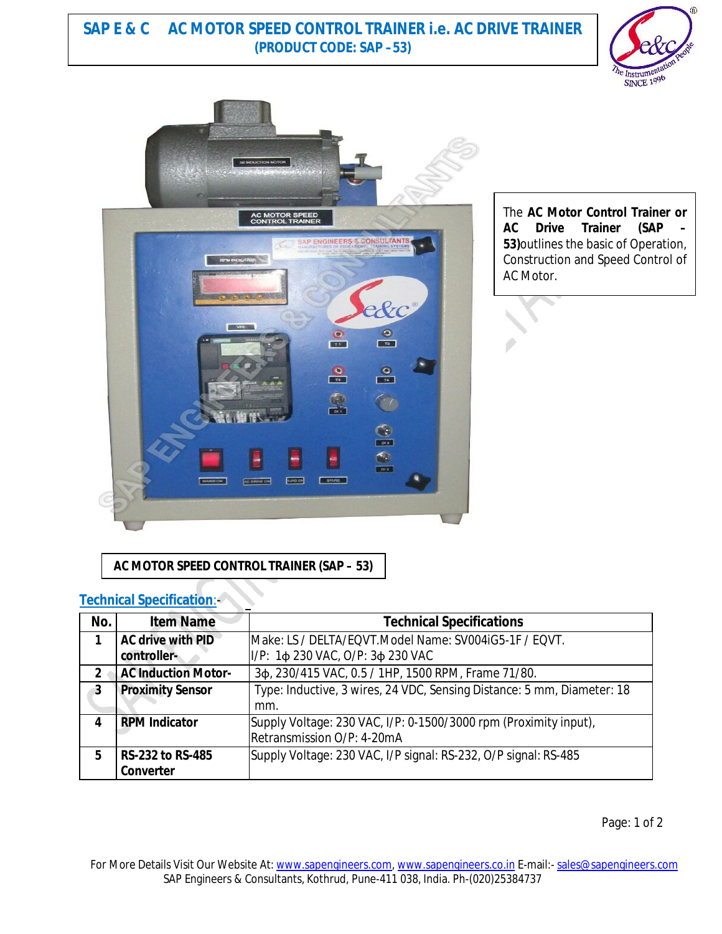## **SAP E & C AC MOTOR SPEED CONTROL TRAINER i.e. AC DRIVE TRAINER (PRODUCT CODE: SAP –53)**





The **AC Motor Control Trainer or AC Drive Trainer (SAP 53)**outlines the basic of Operation, Construction and Speed Control of AC Motor.

**AC MOTOR SPEED CONTROL TRAINER (SAP – 53)**

#### **Technical Specification**:-

| No.           | <b>Item Name</b>           | <b>Technical Specifications</b>                                        |
|---------------|----------------------------|------------------------------------------------------------------------|
|               | <b>AC drive with PID</b>   | Make: LS / DELTA/EQVT.Model Name: SV004iG5-1F / EQVT.                  |
|               | controller-                | I/P: 1ф 230 VAC, O/P: 3ф 230 VAC                                       |
| $\mathfrak z$ | <b>AC Induction Motor-</b> | 3¢, 230/415 VAC, 0.5 / 1HP, 1500 RPM, Frame 71/80.                     |
| 3             | <b>Proximity Sensor</b>    | Type: Inductive, 3 wires, 24 VDC, Sensing Distance: 5 mm, Diameter: 18 |
|               |                            | mm.                                                                    |
|               | <b>RPM Indicator</b>       | Supply Voltage: 230 VAC, I/P: 0-1500/3000 rpm (Proximity input),       |
|               |                            | Retransmission O/P: 4-20mA                                             |
| 5             | <b>RS-232 to RS-485</b>    | Supply Voltage: 230 VAC, I/P signal: RS-232, O/P signal: RS-485        |
|               | <b>Converter</b>           |                                                                        |

Page: 1 of 2

For More Details Visit Our Website At: www.sapengineers.com, www.sapengineers.co.in E-mail:- sales@sapengineers.com SAP Engineers & Consultants, Kothrud, Pune-411 038, India. Ph-(020)25384737